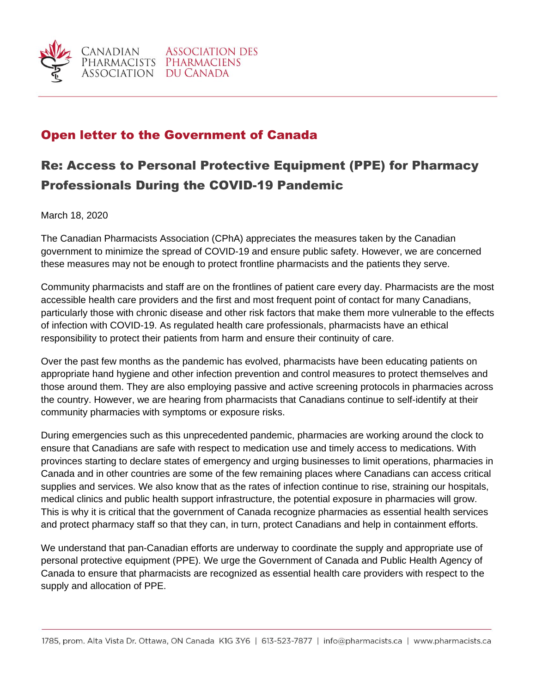

## Open letter to the Government of Canada

## Re: Access to Personal Protective Equipment (PPE) for Pharmacy Professionals During the COVID-19 Pandemic

March 18, 2020

The Canadian Pharmacists Association (CPhA) appreciates the measures taken by the Canadian government to minimize the spread of COVID-19 and ensure public safety. However, we are concerned these measures may not be enough to protect frontline pharmacists and the patients they serve.

Community pharmacists and staff are on the frontlines of patient care every day. Pharmacists are the most accessible health care providers and the first and most frequent point of contact for many Canadians, particularly those with chronic disease and other risk factors that make them more vulnerable to the effects of infection with COVID-19. As regulated health care professionals, pharmacists have an ethical responsibility to protect their patients from harm and ensure their continuity of care.

Over the past few months as the pandemic has evolved, pharmacists have been educating patients on appropriate hand hygiene and other infection prevention and control measures to protect themselves and those around them. They are also employing passive and active screening protocols in pharmacies across the country. However, we are hearing from pharmacists that Canadians continue to self-identify at their community pharmacies with symptoms or exposure risks.

During emergencies such as this unprecedented pandemic, pharmacies are working around the clock to ensure that Canadians are safe with respect to medication use and timely access to medications. With provinces starting to declare states of emergency and urging businesses to limit operations, pharmacies in Canada and in other countries are some of the few remaining places where Canadians can access critical supplies and services. We also know that as the rates of infection continue to rise, straining our hospitals, medical clinics and public health support infrastructure, the potential exposure in pharmacies will grow. This is why it is critical that the government of Canada recognize pharmacies as essential health services and protect pharmacy staff so that they can, in turn, protect Canadians and help in containment efforts.

We understand that pan-Canadian efforts are underway to coordinate the supply and appropriate use of personal protective equipment (PPE). We urge the Government of Canada and Public Health Agency of Canada to ensure that pharmacists are recognized as essential health care providers with respect to the supply and allocation of PPE.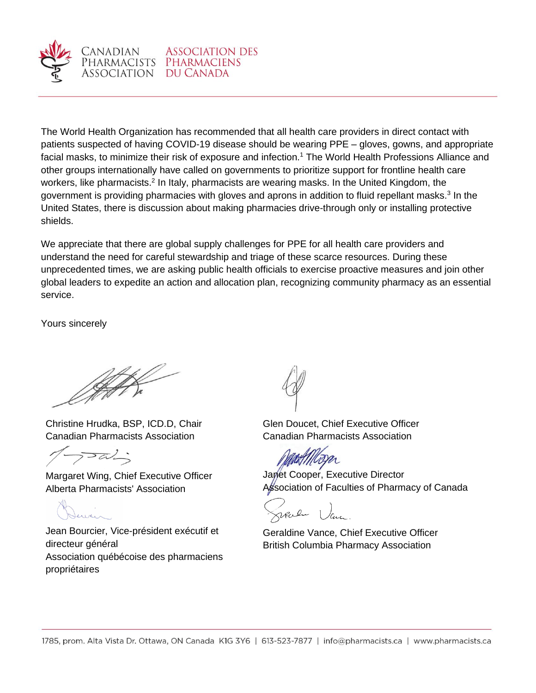

ANADIAN

The World Health Organization has recommended that all health care providers in direct contact with patients suspected of having COVID-19 disease should be wearing PPE – gloves, gowns, and appropriate facial masks, to minimize their risk of exposure and infection.<sup>1</sup> The World Health Professions Alliance and other groups internationally have called on governments to prioritize support for frontline health care workers, like pharmacists.<sup>2</sup> In Italy, pharmacists are wearing masks. In the United Kingdom, the government is providing pharmacies with gloves and aprons in addition to fluid repellant masks.<sup>3</sup> In the United States, there is discussion about making pharmacies drive-through only or installing protective shields.

We appreciate that there are global supply challenges for PPE for all health care providers and understand the need for careful stewardship and triage of these scarce resources. During these unprecedented times, we are asking public health officials to exercise proactive measures and join other global leaders to expedite an action and allocation plan, recognizing community pharmacy as an essential service.

Yours sincerely

Christine Hrudka, BSP, ICD.D, Chair Canadian Pharmacists Association

 $7-\alpha'$ 

Margaret Wing, Chief Executive Officer Alberta Pharmacists' Association

Jean Bourcier, Vice-président exécutif et directeur général Association québécoise des pharmaciens propriétaires

Glen Doucet, Chief Executive Officer Canadian Pharmacists Association

Janet Cooper, Executive Director Association of Faculties of Pharmacy of Canada

Geraldine Vance, Chief Executive Officer British Columbia Pharmacy Association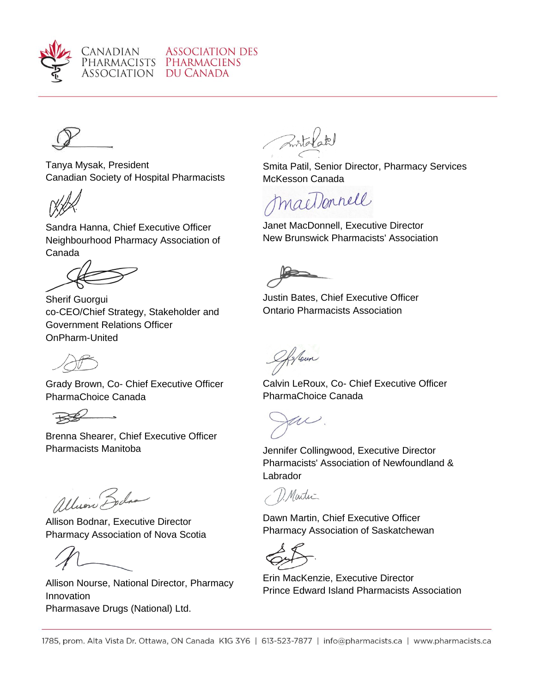

Canadian PHARMACISTS ASSOCIATION



Tanya Mysak, President Canadian Society of Hospital Pharmacists

Sandra Hanna, Chief Executive Officer Neighbourhood Pharmacy Association of Canada



Sherif Guorgui co-CEO/Chief Strategy, Stakeholder and Government Relations Officer OnPharm-United

Grady Brown, Co- Chief Executive Officer PharmaChoice Canada

 $\overline{\phantom{0}}$  $R$ 

Brenna Shearer, Chief Executive Officer Pharmacists Manitoba Jennifer Collingwood, Executive Director

allino Bodia

Allison Bodnar, Executive Director Pharmacy Association of Nova Scotia

Allison Nourse, National Director, Pharmacy Innovation Pharmasave Drugs (National) Ltd.

Smita Patil, Senior Director, Pharmacy Services McKesson Canada

macDonnell

Janet MacDonnell, Executive Director New Brunswick Pharmacists' Association

Justin Bates, Chief Executive Officer Ontario Pharmacists Association

Soun

Calvin LeRoux, Co- Chief Executive Officer PharmaChoice Canada

U

Pharmacists' Association of Newfoundland & Labrador

1. Martin

Dawn Martin, Chief Executive Officer Pharmacy Association of Saskatchewan

Erin MacKenzie, Executive Director Prince Edward Island Pharmacists Association